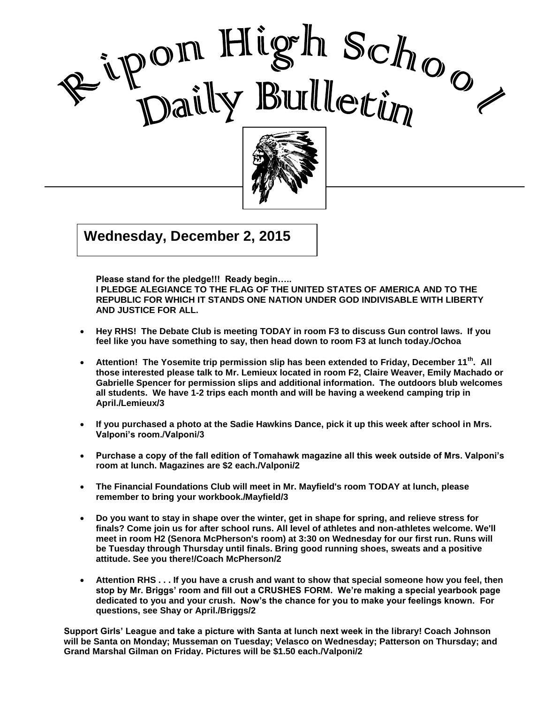



 $\overline{015}$  $G(x) = 0$ **Wednesday, December 2, 2015**

**Please stand for the pledge!!! Ready begin…..** 

**I PLEDGE ALEGIANCE TO THE FLAG OF THE UNITED STATES OF AMERICA AND TO THE REPUBLIC FOR WHICH IT STANDS ONE NATION UNDER GOD INDIVISABLE WITH LIBERTY AND JUSTICE FOR ALL.**

I

- **Hey RHS! The Debate Club is meeting TODAY in room F3 to discuss Gun control laws. If you feel like you have something to say, then head down to room F3 at lunch today./Ochoa**
- **Attention! The Yosemite trip permission slip has been extended to Friday, December 11th. All those interested please talk to Mr. Lemieux located in room F2, Claire Weaver, Emily Machado or Gabrielle Spencer for permission slips and additional information. The outdoors blub welcomes all students. We have 1-2 trips each month and will be having a weekend camping trip in April./Lemieux/3**
- **If you purchased a photo at the Sadie Hawkins Dance, pick it up this week after school in Mrs. Valponi's room./Valponi/3**
- **Purchase a copy of the fall edition of Tomahawk magazine all this week outside of Mrs. Valponi's room at lunch. Magazines are \$2 each./Valponi/2**
- **The Financial Foundations Club will meet in Mr. Mayfield's room TODAY at lunch, please remember to bring your workbook./Mayfield/3**
- **Do you want to stay in shape over the winter, get in shape for spring, and relieve stress for finals? Come join us for after school runs. All level of athletes and non-athletes welcome. We'll meet in room H2 (Senora McPherson's room) at 3:30 on Wednesday for our first run. Runs will be Tuesday through Thursday until finals. Bring good running shoes, sweats and a positive attitude. See you there!/Coach McPherson/2**
- **Attention RHS . . . If you have a crush and want to show that special someone how you feel, then stop by Mr. Briggs' room and fill out a CRUSHES FORM. We're making a special yearbook page dedicated to you and your crush. Now's the chance for you to make your feelings known. For questions, see Shay or April./Briggs/2**

**Support Girls' League and take a picture with Santa at lunch next week in the library! Coach Johnson will be Santa on Monday; Musseman on Tuesday; Velasco on Wednesday; Patterson on Thursday; and Grand Marshal Gilman on Friday. Pictures will be \$1.50 each./Valponi/2**